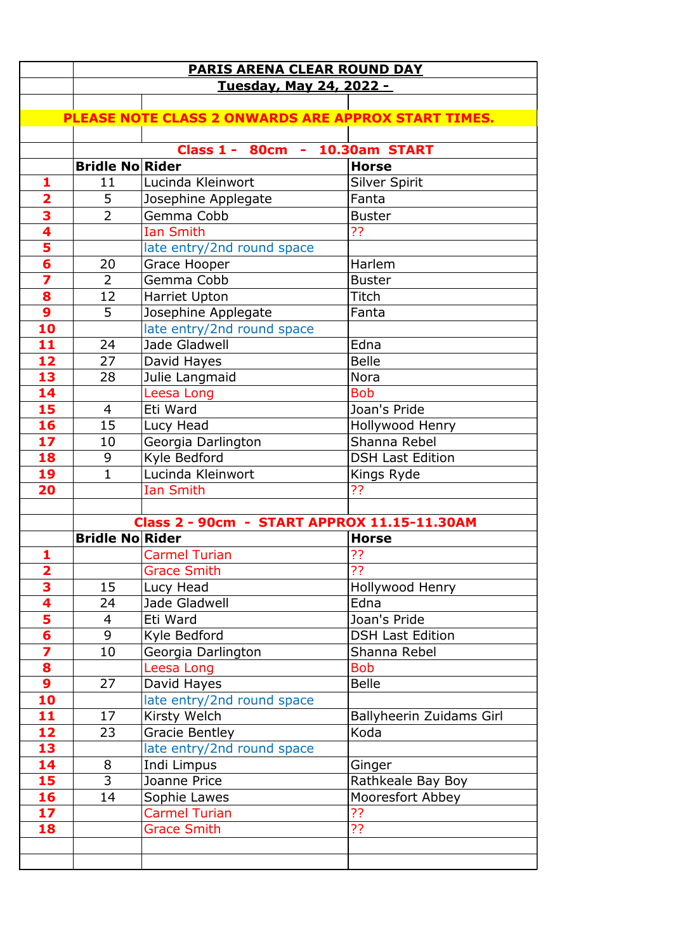|                         | <b>PARIS ARENA CLEAR ROUND DAY</b> |                                                     |                          |  |  |
|-------------------------|------------------------------------|-----------------------------------------------------|--------------------------|--|--|
|                         | <u>Tuesday, May 24, 2022 -</u>     |                                                     |                          |  |  |
|                         |                                    |                                                     |                          |  |  |
|                         |                                    | PLEASE NOTE CLASS 2 ONWARDS ARE APPROX START TIMES. |                          |  |  |
|                         |                                    |                                                     |                          |  |  |
|                         |                                    | Class 1 - 80cm -                                    | 10.30am START            |  |  |
|                         | <b>Bridle No Rider</b>             |                                                     | <b>Horse</b>             |  |  |
| 1                       | 11                                 | Lucinda Kleinwort                                   | <b>Silver Spirit</b>     |  |  |
| $\overline{\mathbf{2}}$ | 5                                  | Josephine Applegate                                 | Fanta                    |  |  |
| 3                       | $\overline{2}$                     | Gemma Cobb                                          | <b>Buster</b>            |  |  |
| $\overline{\mathbf{4}}$ |                                    | <b>Ian Smith</b>                                    | ??                       |  |  |
| $\frac{5}{6}$           |                                    | late entry/2nd round space                          |                          |  |  |
|                         | 20                                 | Grace Hooper                                        | Harlem                   |  |  |
| 7                       | $\overline{2}$                     | Gemma Cobb                                          | <b>Buster</b>            |  |  |
| 8                       | 12                                 | Harriet Upton                                       | Titch                    |  |  |
| 9                       | 5                                  | Josephine Applegate                                 | Fanta                    |  |  |
| 10                      |                                    | late entry/2nd round space                          |                          |  |  |
| 11                      | 24                                 | Jade Gladwell                                       | Edna                     |  |  |
| 12                      | 27                                 | David Hayes                                         | <b>Belle</b>             |  |  |
| 13                      | 28                                 | Julie Langmaid                                      | <b>Nora</b>              |  |  |
| 14                      |                                    | Leesa Long                                          | <b>Bob</b>               |  |  |
| 15                      | $\overline{4}$                     | Eti Ward                                            | Joan's Pride             |  |  |
| 16                      | 15                                 | Lucy Head                                           | Hollywood Henry          |  |  |
| 17                      | 10                                 | Georgia Darlington                                  | Shanna Rebel             |  |  |
| 18                      | 9                                  | Kyle Bedford                                        | <b>DSH Last Edition</b>  |  |  |
| 19                      | $\mathbf{1}$                       | Lucinda Kleinwort                                   | Kings Ryde               |  |  |
| 20                      |                                    | <b>Ian Smith</b>                                    | ??                       |  |  |
|                         |                                    |                                                     |                          |  |  |
|                         |                                    | Class 2 - 90cm - START APPROX 11.15-11.30AM         |                          |  |  |
|                         | <b>Bridle No Rider</b>             |                                                     | <b>Horse</b>             |  |  |
| 1                       |                                    | <b>Carmel Turian</b>                                | ??                       |  |  |
| 2                       |                                    | <b>Grace Smith</b>                                  | ??                       |  |  |
| $\overline{\mathbf{3}}$ | 15                                 | Lucy Head                                           | Hollywood Henry          |  |  |
| 4                       | 24                                 | Jade Gladwell                                       | Edna                     |  |  |
| 5                       | $\overline{4}$                     | Eti Ward                                            | Joan's Pride             |  |  |
| 6                       | 9                                  | Kyle Bedford                                        | <b>DSH Last Edition</b>  |  |  |
| 7                       | 10                                 | Georgia Darlington                                  | Shanna Rebel             |  |  |
| 8                       |                                    | Leesa Long                                          | <b>Bob</b>               |  |  |
| 9                       | 27                                 | David Hayes                                         | <b>Belle</b>             |  |  |
| 10                      |                                    | late entry/2nd round space                          |                          |  |  |
| 11                      | 17                                 | Kirsty Welch                                        | Ballyheerin Zuidams Girl |  |  |
| 12                      | 23                                 | Gracie Bentley                                      | Koda                     |  |  |
| 13                      |                                    | late entry/2nd round space                          |                          |  |  |
| 14                      | 8                                  | Indi Limpus                                         | Ginger                   |  |  |
| 15                      | 3                                  | Joanne Price                                        | Rathkeale Bay Boy        |  |  |
| 16                      | 14                                 | Sophie Lawes                                        | Mooresfort Abbey         |  |  |
| 17                      |                                    | <b>Carmel Turian</b>                                | ??                       |  |  |
| 18                      |                                    | <b>Grace Smith</b>                                  | ??                       |  |  |
|                         |                                    |                                                     |                          |  |  |
|                         |                                    |                                                     |                          |  |  |